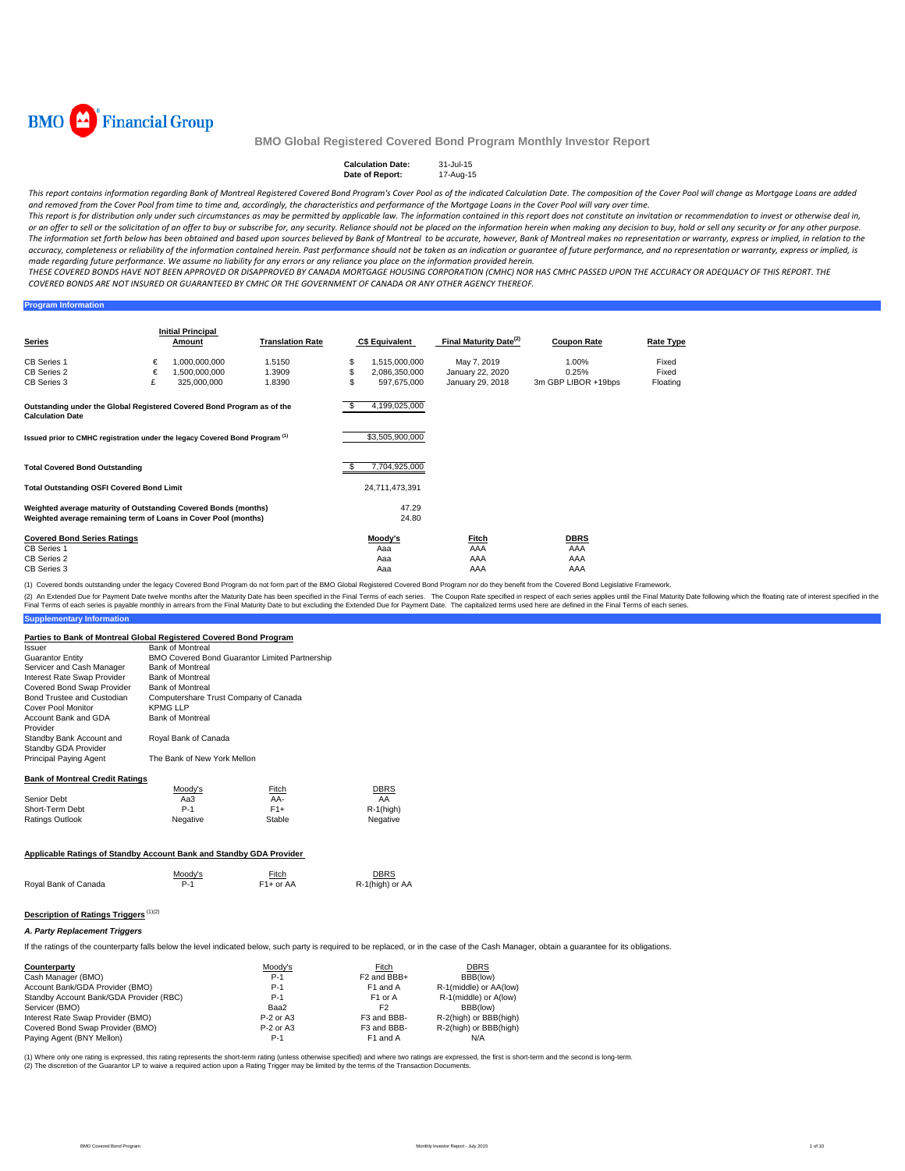

#### Calculation Date: 31-Jul-15<br>Date of Report: 17-Aug-15 **Date of Report:**

This report contains information regarding Bank of Montreal Registered Covered Bond Program's Cover Pool as of the indicated Calculation Date. The composition of the Cover Pool will change as Mortgage Loans are added and removed from the Cover Pool from time to time and, accordingly, the characteristics and performance of the Mortgage Loans in the Cover Pool will vary over time.

This report is for distribution only under such circumstances as may be permitted by applicable law. The information contained in this report does not constitute an invitation or recommendation to invest or otherwise deal or an offer to sell or the solicitation of an offer to buy or subscribe for, any security. Reliance should not be placed on the information herein when making any decision to buy, hold or sell any security or for any other The information set forth below has been obtained and based upon sources believed by Bank of Montreal to be accurate, however, Bank of Montreal makes no representation or warranty, express or implied, in relation to the accuracy, completeness or reliability of the information contained herein. Past performance should not be taken as an indication or guarantee of future performance, and no representation or warranty, express or implied, is made regarding future performance. We assume no liability for any errors or any reliance you place on the information provided herein.

THESE COVERED BONDS HAVE NOT BEEN APPROVED OR DISAPPROVED BY CANADA MORTGAGE HOUSING CORPORATION (CMHC) NOR HAS CMHC PASSED UPON THE ACCURACY OR ADEQUACY OF THIS REPORT. THE COVERED BONDS ARE NOT INSURED OR GUARANTEED BY CMHC OR THE GOVERNMENT OF CANADA OR ANY OTHER AGENCY THEREOF.

### **Program Information**

| Series                                                                                            |   | <b>Initial Principal</b><br>Amount | <b>Translation Rate</b> | <b>C\$ Equivalent</b> | Final Maturity Date <sup>(2)</sup> | <b>Coupon Rate</b>  | Rate Type |
|---------------------------------------------------------------------------------------------------|---|------------------------------------|-------------------------|-----------------------|------------------------------------|---------------------|-----------|
| <b>CB</b> Series 1                                                                                | € | 1,000,000,000                      | 1.5150                  | 1,515,000,000         | May 7, 2019                        | 1.00%               | Fixed     |
| CB Series 2                                                                                       | € | 1,500,000,000                      | 1.3909                  | 2,086,350,000         | January 22, 2020                   | 0.25%               | Fixed     |
| CB Series 3                                                                                       | £ | 325,000,000                        | 1.8390                  | \$<br>597,675,000     | January 29, 2018                   | 3m GBP LIBOR +19bps | Floating  |
| Outstanding under the Global Registered Covered Bond Program as of the<br><b>Calculation Date</b> |   |                                    |                         | 4,199,025,000         |                                    |                     |           |
| Issued prior to CMHC registration under the legacy Covered Bond Program <sup>(1)</sup>            |   |                                    |                         | \$3,505,900,000       |                                    |                     |           |
| <b>Total Covered Bond Outstanding</b>                                                             |   |                                    |                         | 7,704,925,000         |                                    |                     |           |
| <b>Total Outstanding OSFI Covered Bond Limit</b>                                                  |   |                                    |                         | 24,711,473,391        |                                    |                     |           |
| Weighted average maturity of Outstanding Covered Bonds (months)                                   |   |                                    |                         | 47.29                 |                                    |                     |           |
| Weighted average remaining term of Loans in Cover Pool (months)                                   |   |                                    |                         | 24.80                 |                                    |                     |           |
| <b>Covered Bond Series Ratings</b>                                                                |   |                                    |                         | Moody's               | Fitch                              | <b>DBRS</b>         |           |
| CB Series 1                                                                                       |   |                                    |                         | Aaa                   | AAA                                | AAA                 |           |
| CB Series 2                                                                                       |   |                                    |                         | Aaa                   | AAA                                | AAA                 |           |
| CB Series 3                                                                                       |   |                                    |                         | Aaa                   | AAA                                | AAA                 |           |

(1) Covered bonds outstanding under the legacy Covered Bond Program do not form part of the BMO Global Registered Covered Bond Program nor do they benefit from the Covered Bond Legislative Framework.

(2) An Extended Due for Payment Date welve months after the Maturity Date has been specified in the Final Terms of each series. The Coupon Rate specified in the enduction the shate holders are adding to each series. The ca

#### **Supplementary Information**

#### **Parties to Bank of Montreal Global Registered Covered Bond Program**

| Issuer                                           | <b>Bank of Montreal</b>               |                                                |              |
|--------------------------------------------------|---------------------------------------|------------------------------------------------|--------------|
| <b>Guarantor Entity</b>                          |                                       | BMO Covered Bond Guarantor Limited Partnership |              |
| Servicer and Cash Manager                        | <b>Bank of Montreal</b>               |                                                |              |
| Interest Rate Swap Provider                      | <b>Bank of Montreal</b>               |                                                |              |
| Covered Bond Swap Provider                       | <b>Bank of Montreal</b>               |                                                |              |
| Bond Trustee and Custodian                       | Computershare Trust Company of Canada |                                                |              |
| <b>Cover Pool Monitor</b>                        | <b>KPMG LLP</b>                       |                                                |              |
| Account Bank and GDA<br>Provider                 | <b>Bank of Montreal</b>               |                                                |              |
| Standby Bank Account and<br>Standby GDA Provider | Royal Bank of Canada                  |                                                |              |
| Principal Paying Agent                           | The Bank of New York Mellon           |                                                |              |
| <b>Bank of Montreal Credit Ratings</b>           |                                       |                                                |              |
|                                                  | Moody's                               | <b>Fitch</b>                                   | DBRS         |
| Senior Debt                                      | АаЗ                                   | AA-                                            | AA           |
| Short-Term Debt                                  | $P-1$                                 | $F1+$                                          | $R-1$ (high) |
| Ratings Outlook                                  | Negative                              | Stable                                         | Negative     |
|                                                  |                                       |                                                |              |

### **Applicable Ratings of Standby Account Bank and Standby GDA Provider**

|                      | Moody's | Fitch                  | <b>DBRS</b>     |
|----------------------|---------|------------------------|-----------------|
| Royal Bank of Canada | P-1     | F <sub>1</sub> + or AA | R-1(high) or AA |

## **Description of Ratings Triggers** (1)(2)

#### *A. Party Replacement Triggers*

If the ratings of the counterparty falls below the level indicated below, such party is required to be replaced, or in the case of the Cash Manager, obtain a guarantee for its obligations.

| Counterparty                            | Moody's     | Fitch                   | <b>DBRS</b>            |
|-----------------------------------------|-------------|-------------------------|------------------------|
| Cash Manager (BMO)                      | $P-1$       | F <sub>2</sub> and BBB+ | BBB(low)               |
| Account Bank/GDA Provider (BMO)         | $P-1$       | F <sub>1</sub> and A    | R-1(middle) or AA(low) |
| Standby Account Bank/GDA Provider (RBC) | $P-1$       | F <sub>1</sub> or A     | R-1(middle) or A(low)  |
| Servicer (BMO)                          | Baa2        | F <sub>2</sub>          | BBB(low)               |
| Interest Rate Swap Provider (BMO)       | $P-2$ or A3 | F3 and BBB-             | R-2(high) or BBB(high) |
| Covered Bond Swap Provider (BMO)        | $P-2$ or A3 | F3 and BBB-             | R-2(high) or BBB(high) |
| Paying Agent (BNY Mellon)               | $P-1$       | F1 and A                | N/A                    |

(1) Where only one rating is expressed, this rating represents the short-term rating (unless otherwise specified) and where two ratings are expressed, the first is short-term and the second is long-term.<br>(2) The discretion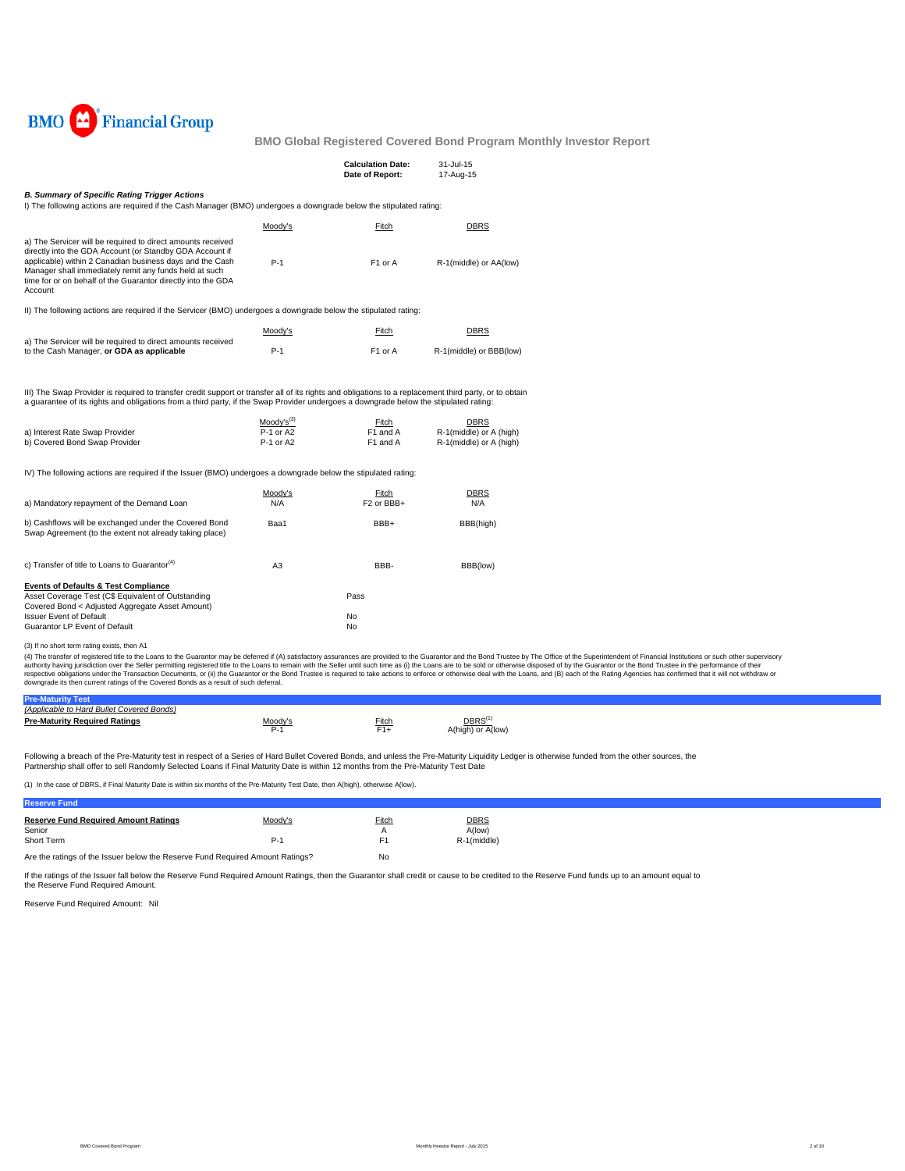

|                                                                                                                                                                                                                                                                                                                                                                                                                                                                                                                                                                                                                                                                                                                                                                                                                                                                                                                                                                                                                                                                                                                    |                          | <b>Calculation Date:</b><br>Date of Report: | 31-Jul-15<br>17-Aug-15                                            |  |
|--------------------------------------------------------------------------------------------------------------------------------------------------------------------------------------------------------------------------------------------------------------------------------------------------------------------------------------------------------------------------------------------------------------------------------------------------------------------------------------------------------------------------------------------------------------------------------------------------------------------------------------------------------------------------------------------------------------------------------------------------------------------------------------------------------------------------------------------------------------------------------------------------------------------------------------------------------------------------------------------------------------------------------------------------------------------------------------------------------------------|--------------------------|---------------------------------------------|-------------------------------------------------------------------|--|
| <b>B. Summary of Specific Rating Trigger Actions</b>                                                                                                                                                                                                                                                                                                                                                                                                                                                                                                                                                                                                                                                                                                                                                                                                                                                                                                                                                                                                                                                               |                          |                                             |                                                                   |  |
|                                                                                                                                                                                                                                                                                                                                                                                                                                                                                                                                                                                                                                                                                                                                                                                                                                                                                                                                                                                                                                                                                                                    | Moody's                  | Fitch                                       | <b>DBRS</b>                                                       |  |
| a) The Servicer will be required to direct amounts received<br>directly into the GDA Account (or Standby GDA Account if<br>applicable) within 2 Canadian business days and the Cash<br>Manager shall immediately remit any funds held at such<br>time for or on behalf of the Guarantor directly into the GDA<br>Account                                                                                                                                                                                                                                                                                                                                                                                                                                                                                                                                                                                                                                                                                                                                                                                           | $P-1$                    | F1 or A                                     | R-1(middle) or AA(low)                                            |  |
|                                                                                                                                                                                                                                                                                                                                                                                                                                                                                                                                                                                                                                                                                                                                                                                                                                                                                                                                                                                                                                                                                                                    |                          |                                             |                                                                   |  |
|                                                                                                                                                                                                                                                                                                                                                                                                                                                                                                                                                                                                                                                                                                                                                                                                                                                                                                                                                                                                                                                                                                                    | Moody's                  | Fitch                                       | <b>DBRS</b>                                                       |  |
| to the Cash Manager, or GDA as applicable                                                                                                                                                                                                                                                                                                                                                                                                                                                                                                                                                                                                                                                                                                                                                                                                                                                                                                                                                                                                                                                                          | $P-1$                    | F1 or A                                     | R-1(middle) or BBB(low)                                           |  |
|                                                                                                                                                                                                                                                                                                                                                                                                                                                                                                                                                                                                                                                                                                                                                                                                                                                                                                                                                                                                                                                                                                                    |                          |                                             |                                                                   |  |
| a) Interest Rate Swap Provider<br>b) Covered Bond Swap Provider                                                                                                                                                                                                                                                                                                                                                                                                                                                                                                                                                                                                                                                                                                                                                                                                                                                                                                                                                                                                                                                    | $P-1$ or A2<br>P-1 or A2 | Fitch<br>F1 and A<br>F1 and A               | <b>DBRS</b><br>R-1(middle) or A (high)<br>R-1(middle) or A (high) |  |
| I) The following actions are required if the Cash Manager (BMO) undergoes a downgrade below the stipulated rating:<br>II) The following actions are required if the Servicer (BMO) undergoes a downgrade below the stipulated rating:<br>a) The Servicer will be required to direct amounts received<br>III) The Swap Provider is required to transfer credit support or transfer all of its rights and obligations to a replacement third party, or to obtain<br>a guarantee of its rights and obligations from a third party, if the Swap Provider undergoes a downgrade below the stipulated rating:<br>Moody's <sup>(3)</sup><br>IV) The following actions are required if the Issuer (BMO) undergoes a downgrade below the stipulated rating:<br><b>DBRS</b><br>Moody's<br>Fitch<br>F <sub>2</sub> or BBB+<br>N/A<br>N/A<br>a) Mandatory repayment of the Demand Loan<br>b) Cashflows will be exchanged under the Covered Bond<br>Baa1<br>BBB+<br>BBB(high)<br>Swap Agreement (to the extent not already taking place)<br>c) Transfer of title to Loans to Guarantor <sup>(4)</sup><br>A3<br>BBB-<br>BBB(low) |                          |                                             |                                                                   |  |
|                                                                                                                                                                                                                                                                                                                                                                                                                                                                                                                                                                                                                                                                                                                                                                                                                                                                                                                                                                                                                                                                                                                    |                          |                                             |                                                                   |  |
|                                                                                                                                                                                                                                                                                                                                                                                                                                                                                                                                                                                                                                                                                                                                                                                                                                                                                                                                                                                                                                                                                                                    |                          |                                             |                                                                   |  |
|                                                                                                                                                                                                                                                                                                                                                                                                                                                                                                                                                                                                                                                                                                                                                                                                                                                                                                                                                                                                                                                                                                                    |                          |                                             |                                                                   |  |
| <b>Events of Defaults &amp; Test Compliance</b><br>Asset Coverage Test (C\$ Equivalent of Outstanding<br>Covered Bond < Adjusted Aggregate Asset Amount)                                                                                                                                                                                                                                                                                                                                                                                                                                                                                                                                                                                                                                                                                                                                                                                                                                                                                                                                                           |                          | Pass                                        |                                                                   |  |
| <b>Issuer Event of Default</b><br>Guarantor LP Event of Default                                                                                                                                                                                                                                                                                                                                                                                                                                                                                                                                                                                                                                                                                                                                                                                                                                                                                                                                                                                                                                                    |                          | No<br>No                                    |                                                                   |  |
| (3) If no short term rating exists, then A1<br>the contract of the contract of the contract of                                                                                                                                                                                                                                                                                                                                                                                                                                                                                                                                                                                                                                                                                                                                                                                                                                                                                                                                                                                                                     |                          |                                             |                                                                   |  |

(3) If no short term rating exists, then A1<br>(4) The transfer of registered title to the Loans to the Guarantor may be deferred if (A) satisfactory assurances are provided to the Guarantor and the Bond Trustee by The Office

| <b>Pre-Maturity Test</b>                  |              |       |                            |
|-------------------------------------------|--------------|-------|----------------------------|
| (Applicable to Hard Bullet Covered Bonds) |              |       |                            |
| <b>Pre-Maturity Required Ratings</b>      | vloody'<br>⊷ | Fitch | DBRS'<br>A(high) or A(low) |

Following a breach of the Pre-Maturity test in respect of a Series of Hard Bullet Covered Bonds, and unless the Pre-Maturity Liquidity Ledger is otherwise funded from the other sources, the<br>Partnership shall offer to sell

(1) In the case of DBRS, if Final Maturity Date is within six months of the Pre-Maturity Test Date, then A(high), otherwise A(low).

| <b>Reserve Fund</b>                                                           |         |              |             |
|-------------------------------------------------------------------------------|---------|--------------|-------------|
| <b>Reserve Fund Required Amount Ratings</b>                                   | Moody's | <u>Fitch</u> | <b>DBRS</b> |
| Senior                                                                        |         |              | A(low)      |
| Short Term                                                                    | P-1     |              | R-1(middle) |
| Are the ratings of the Issuer below the Reserve Fund Required Amount Ratings? |         | No           |             |

If the ratings of the Issuer fall below the Reserve Fund Required Amount Ratings, then the Guarantor shall credit or cause to be credited to the Reserve Fund funds up to an amount equal to the Reserve Fund Required Amount.

Reserve Fund Required Amount: Nil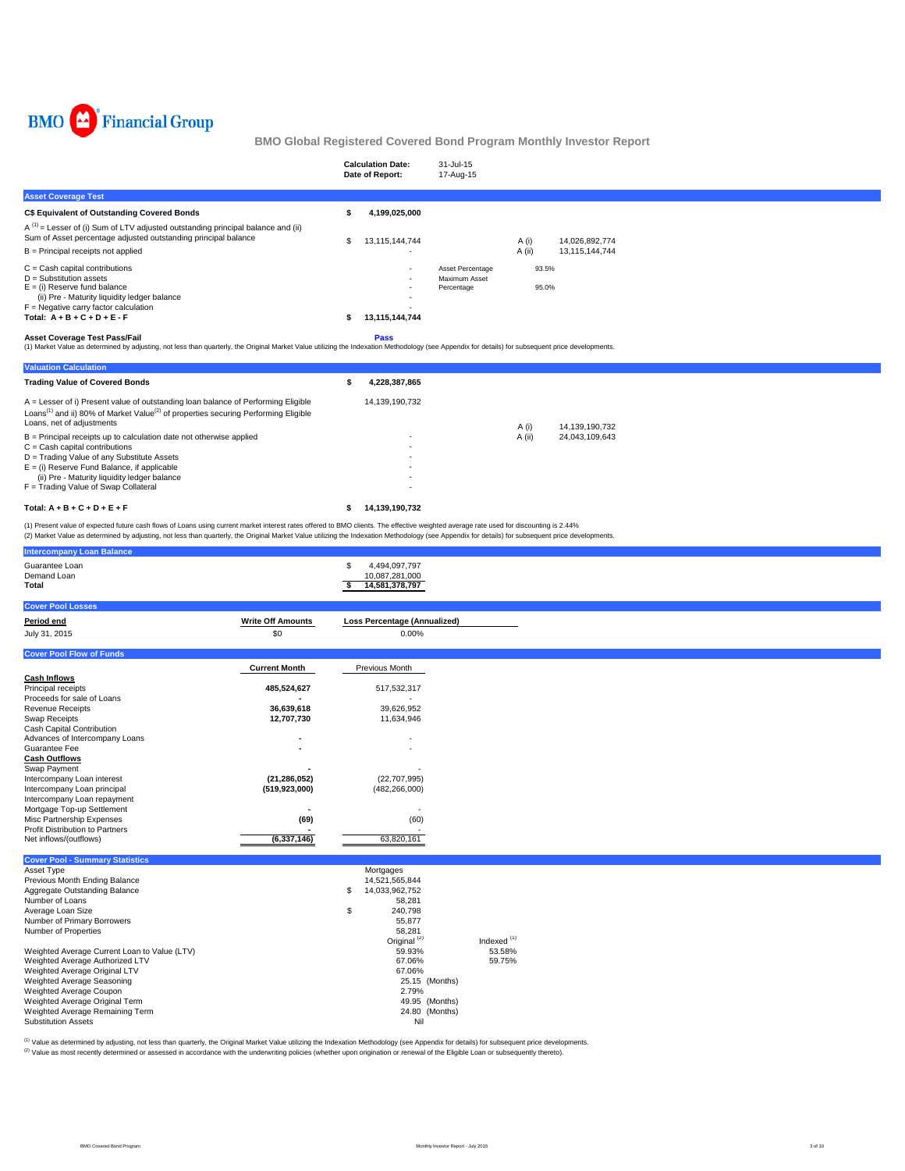

|                                                                                                                                                                                                                                            | <b>Calculation Date:</b><br>Date of Report: | 31-Jul-15<br>17-Aug-15                          |                |                |  |
|--------------------------------------------------------------------------------------------------------------------------------------------------------------------------------------------------------------------------------------------|---------------------------------------------|-------------------------------------------------|----------------|----------------|--|
| <b>Asset Coverage Test</b>                                                                                                                                                                                                                 |                                             |                                                 |                |                |  |
| C\$ Equivalent of Outstanding Covered Bonds                                                                                                                                                                                                | 4,199,025,000                               |                                                 |                |                |  |
| $A^{(1)}$ = Lesser of (i) Sum of LTV adjusted outstanding principal balance and (ii)<br>Sum of Asset percentage adjusted outstanding principal balance                                                                                     | 13.115.144.744                              |                                                 | A (i)          | 14.026.892.774 |  |
| $B =$ Principal receipts not applied                                                                                                                                                                                                       |                                             |                                                 | A (ii)         | 13,115,144,744 |  |
| $C =$ Cash capital contributions<br>$D =$ Substitution assets<br>$E =$ (i) Reserve fund balance<br>(ii) Pre - Maturity liquidity ledger balance<br>$F =$ Negative carry factor calculation<br>Total: $A + B + C + D + E - F$               | 13,115,144,744                              | Asset Percentage<br>Maximum Asset<br>Percentage | 93.5%<br>95.0% |                |  |
| <b>Asset Coverage Test Pass/Fail</b><br>(1) Market Value as determined by adjusting, not less than quarterly, the Original Market Value utilizing the Indexation Methodology (see Appendix for details) for subsequent price developments. | <b>Pass</b>                                 |                                                 |                |                |  |

| <b>Valuation Calculation</b>                                                                                                                                                                                                 |   |                |        |                |
|------------------------------------------------------------------------------------------------------------------------------------------------------------------------------------------------------------------------------|---|----------------|--------|----------------|
| <b>Trading Value of Covered Bonds</b>                                                                                                                                                                                        | s | 4.228.387.865  |        |                |
| A = Lesser of i) Present value of outstanding loan balance of Performing Eligible<br>Loans <sup>(1)</sup> and ii) 80% of Market Value <sup>(2)</sup> of properties securing Performing Eligible<br>Loans, net of adiustments |   | 14.139.190.732 | A (i)  | 14.139.190.732 |
| $B =$ Principal receipts up to calculation date not otherwise applied                                                                                                                                                        |   |                | A (ii) | 24.043.109.643 |
| $C =$ Cash capital contributions                                                                                                                                                                                             |   |                |        |                |
| D = Trading Value of any Substitute Assets                                                                                                                                                                                   |   |                |        |                |
| $E =$ (i) Reserve Fund Balance, if applicable                                                                                                                                                                                |   |                |        |                |
| (ii) Pre - Maturity liquidity ledger balance                                                                                                                                                                                 |   |                |        |                |
| F = Trading Value of Swap Collateral                                                                                                                                                                                         |   |                |        |                |
| Total: $A + B + C + D + E + F$                                                                                                                                                                                               |   | 14.139.190.732 |        |                |

(1) Present value of expected future cash flows of Loans using current market interest rates offered to BMO clients. The effective weighted average rate used for discounting is 2.44%<br>(2) Market Value as determined by adjus

| <b>Intercompany Loan Balance</b>                                                |                          |                                     |                        |
|---------------------------------------------------------------------------------|--------------------------|-------------------------------------|------------------------|
| Guarantee Loan                                                                  |                          | 4,494,097,797<br>\$                 |                        |
| Demand Loan                                                                     |                          | 10,087,281,000                      |                        |
| Total                                                                           |                          | \$<br>14,581,378,797                |                        |
| <b>Cover Pool Losses</b>                                                        |                          |                                     |                        |
| Period end                                                                      | <b>Write Off Amounts</b> | <b>Loss Percentage (Annualized)</b> |                        |
| July 31, 2015                                                                   | \$0                      | 0.00%                               |                        |
| <b>Cover Pool Flow of Funds</b>                                                 |                          |                                     |                        |
|                                                                                 | <b>Current Month</b>     | Previous Month                      |                        |
| <b>Cash Inflows</b><br>Principal receipts                                       | 485,524,627              | 517,532,317                         |                        |
| Proceeds for sale of Loans                                                      |                          | ÷.                                  |                        |
| <b>Revenue Receipts</b>                                                         | 36,639,618               | 39,626,952                          |                        |
| Swap Receipts                                                                   | 12,707,730               | 11,634,946                          |                        |
| Cash Capital Contribution                                                       |                          |                                     |                        |
| Advances of Intercompany Loans<br>Guarantee Fee                                 | $\overline{\phantom{a}}$ |                                     |                        |
| <b>Cash Outflows</b>                                                            |                          |                                     |                        |
| Swap Payment                                                                    |                          |                                     |                        |
| Intercompany Loan interest                                                      | (21, 286, 052)           | (22,707,995)                        |                        |
| Intercompany Loan principal                                                     | (519, 923, 000)          | (482, 266, 000)                     |                        |
| Intercompany Loan repayment                                                     |                          |                                     |                        |
| Mortgage Top-up Settlement                                                      |                          | ٠                                   |                        |
| Misc Partnership Expenses<br>Profit Distribution to Partners                    | (69)                     | (60)                                |                        |
| Net inflows/(outflows)                                                          | (6, 337, 146)            | 63,820,161                          |                        |
|                                                                                 |                          |                                     |                        |
| <b>Cover Pool - Summary Statistics</b>                                          |                          |                                     |                        |
| Asset Type<br>Previous Month Ending Balance                                     |                          | Mortgages<br>14,521,565,844         |                        |
| Aggregate Outstanding Balance                                                   |                          | 14,033,962,752<br>\$                |                        |
| Number of Loans                                                                 |                          | 58,281                              |                        |
| Average Loan Size                                                               |                          | 240,798<br>\$                       |                        |
| Number of Primary Borrowers                                                     |                          | 55,877                              |                        |
| Number of Properties                                                            |                          | 58,281                              |                        |
|                                                                                 |                          | Original <sup>(2)</sup>             | Indexed <sup>(1)</sup> |
| Weighted Average Current Loan to Value (LTV)<br>Weighted Average Authorized LTV |                          | 59.93%<br>67.06%                    | 53.58%<br>59.75%       |
| Weighted Average Original LTV                                                   |                          | 67.06%                              |                        |
| Weighted Average Seasoning                                                      |                          | 25.15 (Months)                      |                        |
| Weighted Average Coupon                                                         |                          | 2.79%                               |                        |
| Weighted Average Original Term                                                  |                          | 49.95 (Months)                      |                        |
| Weighted Average Remaining Term                                                 |                          | 24.80 (Months)                      |                        |

<sup>(1)</sup> Value as determined by adjusting, not less than quarterly, the Original Market Value utilizing the Indexation Methodology (see Appendix for details) for subsequent price developments.

Value as decording of determined or assessed in accordance with the underwriting policies (whether upon origination or renewal of the Eligible Loan or subsequently thereto).

Substitution Assets Nil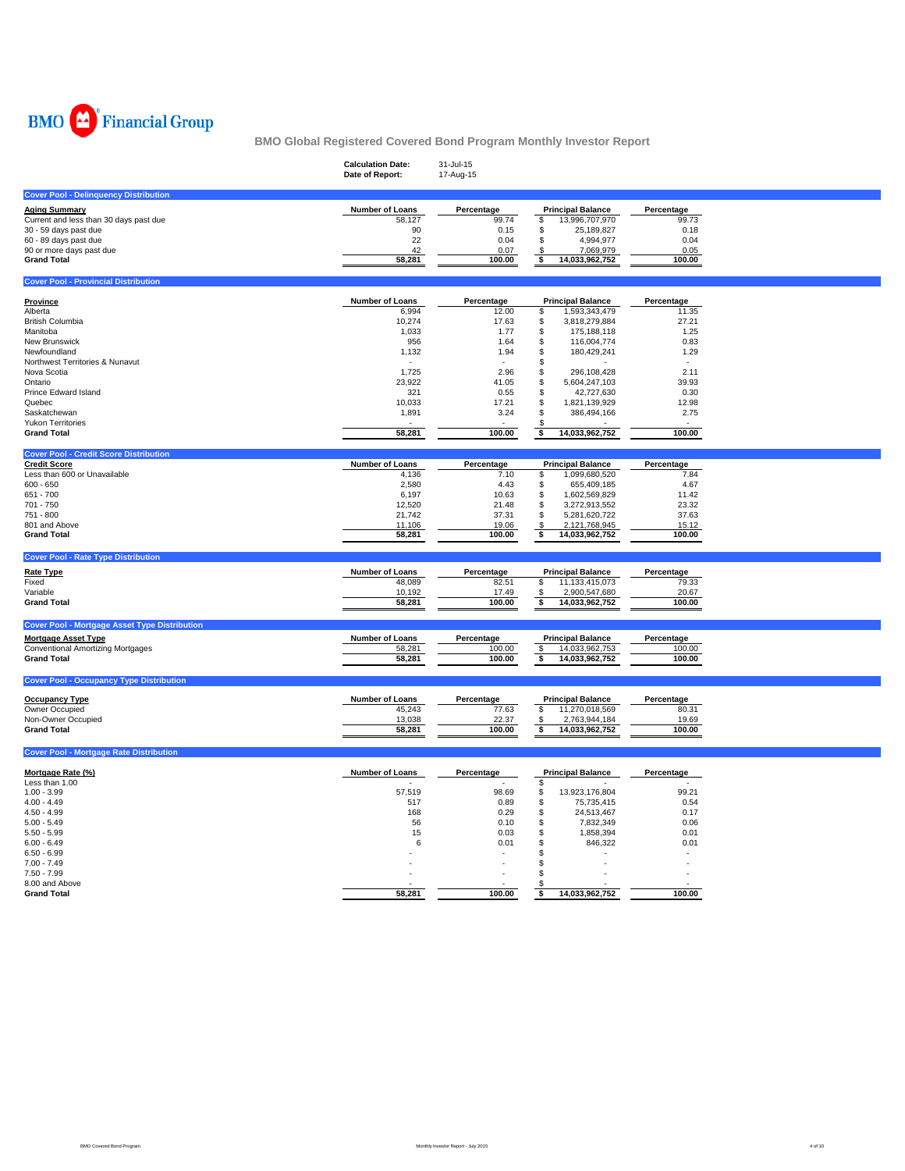

|                                                                                    | <b>Calculation Date:</b><br>Date of Report: | 31-Jul-15<br>17-Aug-15 |                                             |                 |  |
|------------------------------------------------------------------------------------|---------------------------------------------|------------------------|---------------------------------------------|-----------------|--|
| <b>Cover Pool - Delinquency Distribution</b>                                       |                                             |                        |                                             |                 |  |
| <b>Aging Summary</b>                                                               | <b>Number of Loans</b>                      | Percentage             | <b>Principal Balance</b>                    | Percentage      |  |
| Current and less than 30 days past due                                             | 58,127                                      | 99.74                  | 13,996,707,970<br>\$                        | 99.73           |  |
| 30 - 59 days past due                                                              | 90                                          | 0.15                   | \$<br>25,189,827                            | 0.18            |  |
| 60 - 89 days past due                                                              | 22                                          | 0.04                   | \$<br>4,994,977                             | 0.04            |  |
| 90 or more days past due                                                           | 42                                          | 0.07                   | 7,069,979<br>\$                             | 0.05            |  |
| <b>Grand Total</b>                                                                 | 58,281                                      | 100.00                 | 14,033,962,752<br>\$                        | 100.00          |  |
| <b>Cover Pool - Provincial Distribution</b>                                        |                                             |                        |                                             |                 |  |
|                                                                                    |                                             |                        |                                             |                 |  |
| <b>Province</b>                                                                    | Number of Loans                             | Percentage             | <b>Principal Balance</b>                    | Percentage      |  |
| Alberta                                                                            | 6,994                                       | 12.00                  | \$<br>1,593,343,479                         | 11.35           |  |
| British Columbia                                                                   | 10,274                                      | 17.63                  | \$<br>3,818,279,884                         | 27.21           |  |
| Manitoba<br>New Brunswick                                                          | 1,033<br>956                                | 1.77<br>1.64           | \$<br>175,188,118<br>\$<br>116,004,774      | 1.25<br>0.83    |  |
| Newfoundland                                                                       | 1,132                                       | 1.94                   | \$<br>180,429,241                           | 1.29            |  |
| Northwest Territories & Nunavut                                                    |                                             |                        | \$                                          |                 |  |
| Nova Scotia                                                                        | 1,725                                       | 2.96                   | \$<br>296,108,428                           | 2.11            |  |
| Ontario                                                                            | 23,922                                      | 41.05                  | \$<br>5,604,247,103                         | 39.93           |  |
| Prince Edward Island                                                               | 321                                         | 0.55                   | \$<br>42,727,630                            | 0.30            |  |
| Quebec                                                                             | 10,033                                      | 17.21                  | \$<br>1,821,139,929                         | 12.98           |  |
| Saskatchewan                                                                       | 1,891                                       | 3.24                   | \$<br>386,494,166                           | 2.75            |  |
| <b>Yukon Territories</b>                                                           |                                             |                        | £.                                          |                 |  |
| <b>Grand Total</b>                                                                 | 58,281                                      | 100.00                 | 14,033,962,752<br>\$                        | 100.00          |  |
| <b>Cover Pool - Credit Score Distribution</b>                                      |                                             |                        |                                             |                 |  |
| <b>Credit Score</b>                                                                | Number of Loans                             | Percentage             | <b>Principal Balance</b>                    | Percentage      |  |
| Less than 600 or Unavailable                                                       | 4,136                                       | 7.10                   | \$<br>1,099,680,520                         | 7.84            |  |
| $600 - 650$                                                                        | 2,580                                       | 4.43                   | \$<br>655,409,185                           | 4.67            |  |
| 651 - 700                                                                          | 6,197                                       | 10.63                  | \$<br>1,602,569,829                         | 11.42           |  |
| 701 - 750                                                                          | 12,520                                      | 21.48                  | 3,272,913,552<br>\$                         | 23.32           |  |
| 751 - 800                                                                          | 21,742                                      | 37.31                  | \$<br>5,281,620,722                         | 37.63           |  |
| 801 and Above                                                                      | 11,106                                      | 19.06                  | 2,121,768,945<br>\$                         | 15.12           |  |
| <b>Grand Total</b>                                                                 | 58,281                                      | 100.00                 | \$<br>14,033,962,752                        | 100.00          |  |
|                                                                                    |                                             |                        |                                             |                 |  |
|                                                                                    |                                             |                        |                                             |                 |  |
| <b>Cover Pool - Rate Type Distribution</b>                                         |                                             |                        |                                             |                 |  |
|                                                                                    | Number of Loans                             | Percentage             | <b>Principal Balance</b>                    | Percentage      |  |
|                                                                                    | 48,089                                      | 82.51                  | 11,133,415,073<br>\$                        | 79.33           |  |
|                                                                                    | 10,192<br>58,281                            | 17.49<br>100.00        | 2,900,547,680<br>\$<br>\$<br>14,033,962,752 | 20.67<br>100.00 |  |
| Rate Type<br>Fixed<br>Variable<br><b>Grand Total</b>                               |                                             |                        |                                             |                 |  |
|                                                                                    |                                             |                        |                                             |                 |  |
| <b>Cover Pool - Mortgage Asset Type Distribution</b><br><b>Mortgage Asset Type</b> | Number of Loans                             | Percentage             | <b>Principal Balance</b>                    | Percentage      |  |
| <b>Conventional Amortizing Mortgages</b>                                           | 58,281                                      | 100.00                 | 14,033,962,753<br>\$                        | 100.00          |  |
| <b>Grand Total</b>                                                                 | 58,281                                      | 100.00                 | 14,033,962,752<br>\$                        | 100.00          |  |
| <b>Cover Pool - Occupancy Type Distribution</b>                                    |                                             |                        |                                             |                 |  |
|                                                                                    |                                             |                        |                                             |                 |  |
|                                                                                    | <b>Number of Loans</b>                      | Percentage             | <b>Principal Balance</b>                    | Percentage      |  |
| <b>Occupancy Type</b><br>Owner Occupied                                            | 45,243                                      | 77.63                  | \$<br>11,270,018,569                        | 80.31           |  |
| Non-Owner Occupied<br><b>Grand Total</b>                                           | 13,038<br>58,281                            | 22.37<br>100.00        | 2,763,944,184<br>\$<br>14,033,962,752<br>\$ | 19.69<br>100.00 |  |
|                                                                                    |                                             |                        |                                             |                 |  |
| <b>Cover Pool - Mortgage Rate Distribution</b>                                     |                                             |                        |                                             |                 |  |
| Mortgage Rate (%)                                                                  | <b>Number of Loans</b>                      | Percentage             | <b>Principal Balance</b>                    | Percentage      |  |
| Less than 1.00                                                                     |                                             |                        | \$                                          |                 |  |
| $1.00 - 3.99$                                                                      | 57,519                                      | 98.69                  | \$<br>13,923,176,804                        | 99.21           |  |
| $4.00 - 4.49$                                                                      | 517                                         | 0.89                   | \$<br>75,735,415                            | 0.54            |  |
| $4.50 - 4.99$                                                                      | 168                                         | 0.29                   | \$<br>24,513,467                            | 0.17            |  |
| $5.00 - 5.49$                                                                      | 56                                          | 0.10                   | \$<br>7,832,349                             | 0.06            |  |
| $5.50 - 5.99$                                                                      | 15                                          | 0.03                   | \$<br>1,858,394                             | 0.01            |  |
| $6.00 - 6.49$                                                                      | 6                                           | 0.01                   | 846,322<br>\$<br>٠                          | 0.01            |  |
| $6.50 - 6.99$                                                                      |                                             |                        | \$<br>\$                                    |                 |  |
| $7.00 - 7.49$                                                                      |                                             |                        | \$                                          |                 |  |
| $7.50 - 7.99$<br>8.00 and Above                                                    |                                             |                        |                                             |                 |  |

 $\overline{\phantom{a}}$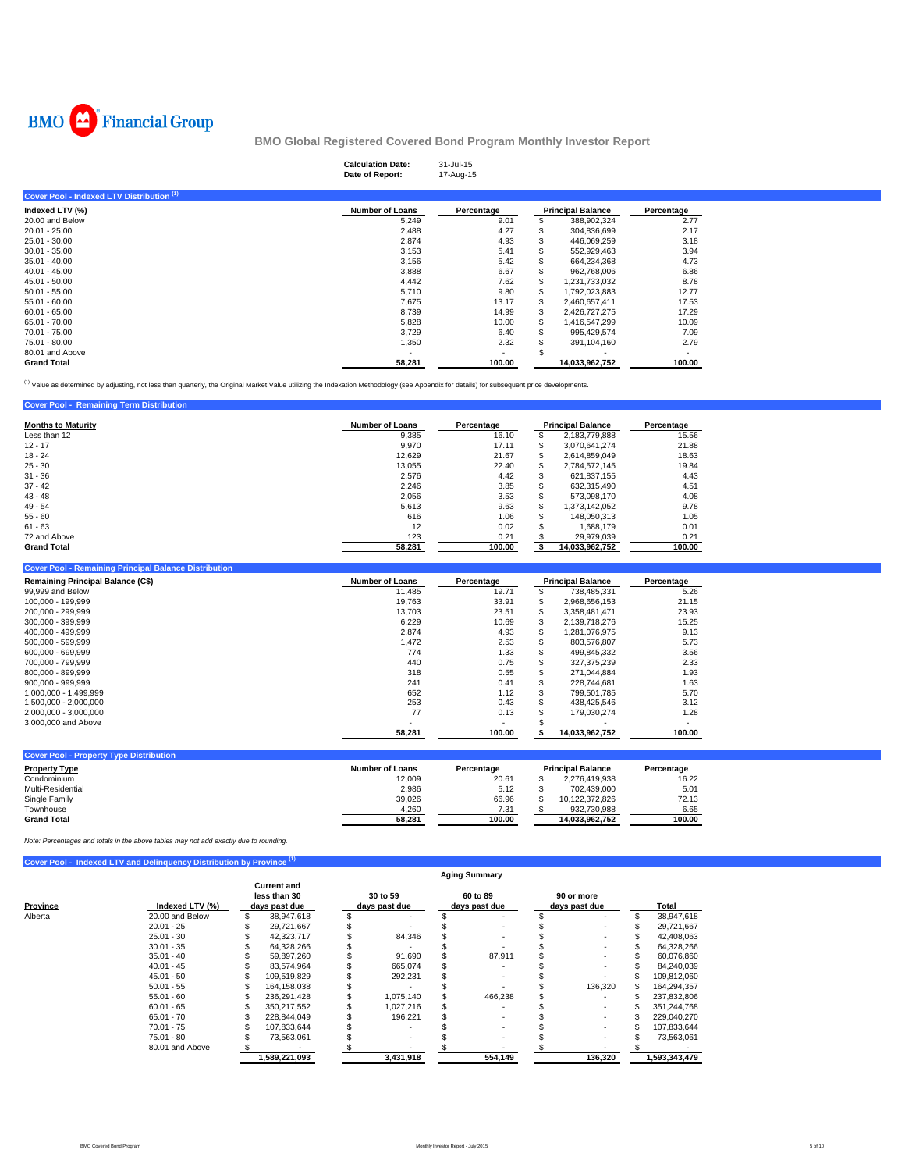

|                                           | <b>Calculation Date:</b><br>Date of Report: | 31-Jul-15<br>17-Aug-15   |                          |                          |  |
|-------------------------------------------|---------------------------------------------|--------------------------|--------------------------|--------------------------|--|
| Cover Pool - Indexed LTV Distribution (1) |                                             |                          |                          |                          |  |
| Indexed LTV (%)                           | <b>Number of Loans</b>                      | Percentage               | <b>Principal Balance</b> | Percentage               |  |
| 20.00 and Below                           | 5,249                                       | 9.01                     | 388,902,324              | 2.77                     |  |
| $20.01 - 25.00$                           | 2,488                                       | 4.27                     | 304,836,699              | 2.17                     |  |
| 25.01 - 30.00                             | 2,874                                       | 4.93                     | 446,069,259              | 3.18                     |  |
| $30.01 - 35.00$                           | 3,153                                       | 5.41                     | 552,929,463              | 3.94                     |  |
| $35.01 - 40.00$                           | 3,156                                       | 5.42                     | 664,234,368              | 4.73                     |  |
| $40.01 - 45.00$                           | 3,888                                       | 6.67                     | 962,768,006              | 6.86                     |  |
| $45.01 - 50.00$                           | 4,442                                       | 7.62                     | 1,231,733,032            | 8.78                     |  |
| $50.01 - 55.00$                           | 5,710                                       | 9.80                     | 1,792,023,883            | 12.77                    |  |
| $55.01 - 60.00$                           | 7,675                                       | 13.17                    | 2,460,657,411            | 17.53                    |  |
| $60.01 - 65.00$                           | 8,739                                       | 14.99                    | 2,426,727,275            | 17.29                    |  |
| 65.01 - 70.00                             | 5,828                                       | 10.00                    | 1,416,547,299            | 10.09                    |  |
| 70.01 - 75.00                             | 3,729                                       | 6.40                     | 995,429,574              | 7.09                     |  |
| 75.01 - 80.00                             | 1,350                                       | 2.32                     | 391,104,160              | 2.79                     |  |
| 80.01 and Above                           | $\sim$                                      | $\overline{\phantom{a}}$ | $\overline{\phantom{a}}$ | $\overline{\phantom{a}}$ |  |
| <b>Grand Total</b>                        | 58,281                                      | 100.00                   | 14,033,962,752           | 100.00                   |  |

<sup>(1)</sup> Value as determined by adjusting, not less than quarterly, the Original Market Value utilizing the Indexation Methodology (see Appendix for details) for subsequent price developments.

| <b>Cover Pool - Remaining Term Distribution</b> |                        |            |     |                          |            |
|-------------------------------------------------|------------------------|------------|-----|--------------------------|------------|
| <b>Months to Maturity</b>                       | <b>Number of Loans</b> | Percentage |     | <b>Principal Balance</b> | Percentage |
| Less than 12                                    | 9.385                  | 16.10      |     | 2.183.779.888            | 15.56      |
| $12 - 17$                                       | 9,970                  | 17.11      |     | 3.070.641.274            | 21.88      |
| $18 - 24$                                       | 12,629                 | 21.67      | S.  | 2,614,859,049            | 18.63      |
| $25 - 30$                                       | 13.055                 | 22.40      | \$  | 2.784.572.145            | 19.84      |
| $31 - 36$                                       | 2,576                  | 4.42       |     | 621.837.155              | 4.43       |
| $37 - 42$                                       | 2.246                  | 3.85       |     | 632.315.490              | 4.51       |
| $43 - 48$                                       | 2,056                  | 3.53       |     | 573.098.170              | 4.08       |
| $49 - 54$                                       | 5.613                  | 9.63       | \$. | 1.373.142.052            | 9.78       |
| $55 - 60$                                       | 616                    | 1.06       |     | 148.050.313              | 1.05       |
| $61 - 63$                                       | 12                     | 0.02       |     | 1.688.179                | 0.01       |
| 72 and Above                                    | 123                    | 0.21       |     | 29.979.039               | 0.21       |
| <b>Grand Total</b>                              | 58,281                 | 100.00     |     | 14,033,962,752           | 100.00     |

| <b>Cover Pool - Remaining Principal Balance Distribution</b> |                        |            |                          |            |
|--------------------------------------------------------------|------------------------|------------|--------------------------|------------|
| <b>Remaining Principal Balance (C\$)</b>                     | <b>Number of Loans</b> | Percentage | <b>Principal Balance</b> | Percentage |
| 99.999 and Below                                             | 11,485                 | 19.71      | 738.485.331              | 5.26       |
| 100.000 - 199.999                                            | 19,763                 | 33.91      | 2,968,656,153            | 21.15      |
| 200.000 - 299.999                                            | 13,703                 | 23.51      | 3.358.481.471            | 23.93      |
| 300.000 - 399.999                                            | 6.229                  | 10.69      | 2.139.718.276            | 15.25      |
| 400.000 - 499.999                                            | 2.874                  | 4.93       | 1.281.076.975            | 9.13       |
| 500.000 - 599.999                                            | 1.472                  | 2.53       | 803,576,807              | 5.73       |
| 600.000 - 699.999                                            | 774                    | 1.33       | 499.845.332              | 3.56       |
| 700.000 - 799.999                                            | 440                    | 0.75       | 327.375.239              | 2.33       |
| 800.000 - 899.999                                            | 318                    | 0.55       | 271.044.884              | 1.93       |
| $900.000 - 999.999$                                          | 241                    | 0.41       | 228.744.681              | 1.63       |
| 1.000.000 - 1.499.999                                        | 652                    | 1.12       | 799.501.785              | 5.70       |
| 1.500.000 - 2.000.000                                        | 253                    | 0.43       | 438.425.546              | 3.12       |
| 2.000.000 - 3.000.000                                        | 77                     | 0.13       | 179.030.274              | 1.28       |
| 3,000,000 and Above                                          |                        |            |                          |            |
|                                                              | 58.281                 | 100.00     | 14.033.962.752           | 100.00     |

| <b>Cover Pool - Property Type Distribution</b> |                 |            |                          |            |
|------------------------------------------------|-----------------|------------|--------------------------|------------|
| <b>Property Type</b>                           | Number of Loans | Percentage | <b>Principal Balance</b> | Percentage |
| Condominium                                    | 12.009          | 20.61      | 2.276.419.938            | 16.22      |
| Multi-Residential                              | 2.986           | 5.12       | 702.439.000              | 5.01       |
| Single Family                                  | 39.026          | 66.96      | 10.122.372.826           | 72.13      |
| Townhouse                                      | 4.260           | 7.31       | 932.730.988              | 6.65       |
| <b>Grand Total</b>                             | 58.281          | 100.00     | 14.033.962.752           | 100.00     |

*Note: Percentages and totals in the above tables may not add exactly due to rounding.*

|          |                 |                                                     |                           | <b>Aging Summary</b>      |                             |   |               |
|----------|-----------------|-----------------------------------------------------|---------------------------|---------------------------|-----------------------------|---|---------------|
| Province | Indexed LTV (%) | <b>Current and</b><br>less than 30<br>days past due | 30 to 59<br>days past due | 60 to 89<br>days past due | 90 or more<br>days past due |   | Total         |
| Alberta  | 20.00 and Below | \$<br>38,947,618                                    |                           |                           |                             | S | 38,947,618    |
|          | $20.01 - 25$    | 29,721,667                                          |                           |                           |                             |   | 29,721,667    |
|          | $25.01 - 30$    | 42,323,717                                          | 84,346                    |                           |                             |   | 42,408,063    |
|          | $30.01 - 35$    | 64,328,266                                          |                           |                           |                             |   | 64,328,266    |
|          | $35.01 - 40$    | 59,897,260                                          | 91.690                    | 87.911                    |                             |   | 60,076,860    |
|          | $40.01 - 45$    | 83.574.964                                          | 665.074                   |                           |                             |   | 84,240,039    |
|          | $45.01 - 50$    | 109.519.829                                         | 292,231                   |                           |                             |   | 109,812,060   |
|          | $50.01 - 55$    | 164.158.038                                         |                           |                           | 136.320                     |   | 164,294,357   |
|          | $55.01 - 60$    | 236,291,428                                         | 1,075,140                 | 466,238                   |                             |   | 237,832,806   |
|          | $60.01 - 65$    | 350,217,552                                         | 1.027.216                 |                           |                             |   | 351,244,768   |
|          | $65.01 - 70$    | 228,844,049                                         | 196,221                   |                           |                             |   | 229,040,270   |
|          | $70.01 - 75$    | 107.833.644                                         |                           |                           |                             |   | 107,833,644   |
|          | $75.01 - 80$    | 73,563,061                                          |                           |                           |                             |   | 73,563,061    |
|          | 80.01 and Above |                                                     |                           |                           |                             |   |               |
|          |                 | 1,589,221,093                                       | 3,431,918                 | 554,149                   | 136,320                     |   | 1,593,343,479 |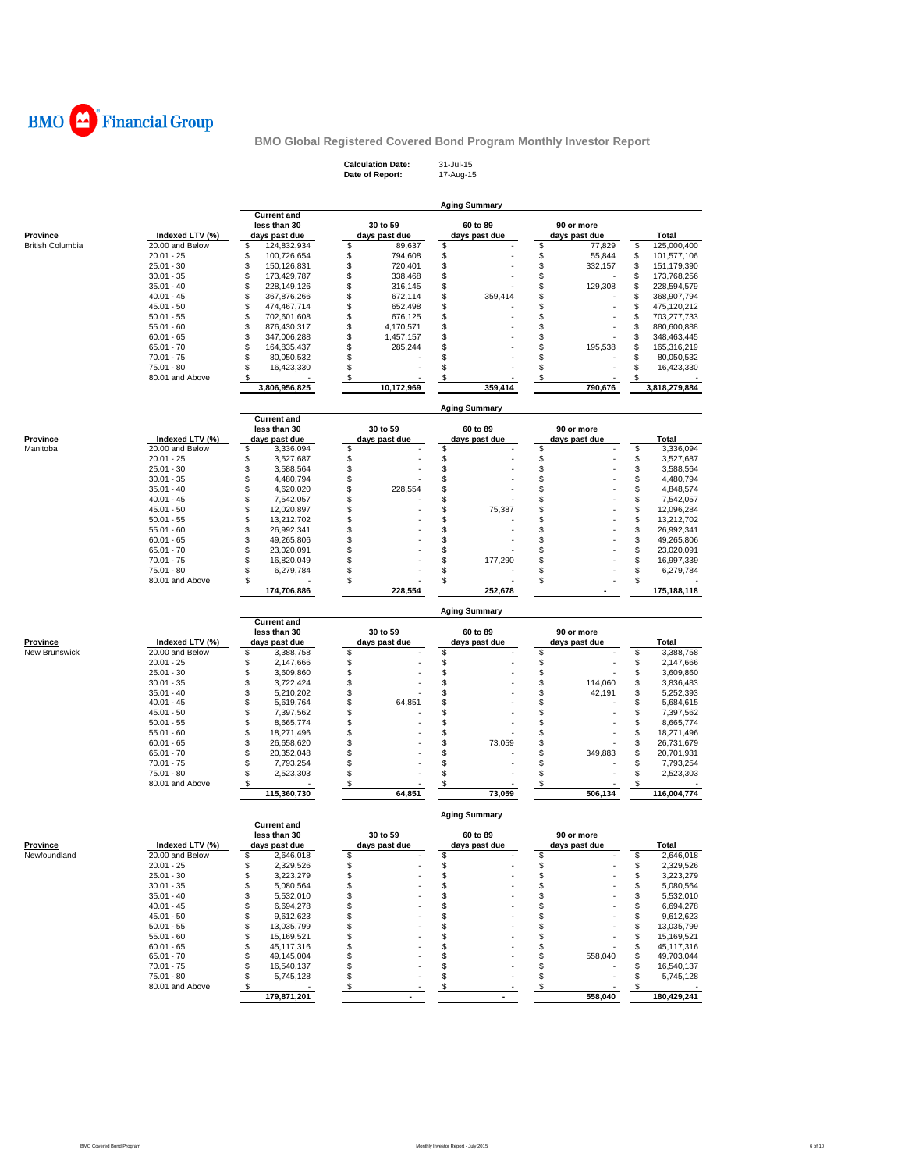

| <b>Calculation Date:</b> | 31-Jul-15 |
|--------------------------|-----------|
| Date of Report:          | 17-Aug-15 |

|                             |                                    |                                                     |                                | <b>Aging Summary</b>      |                             |                                  |
|-----------------------------|------------------------------------|-----------------------------------------------------|--------------------------------|---------------------------|-----------------------------|----------------------------------|
| <b>Province</b>             | Indexed LTV (%)                    | <b>Current and</b><br>less than 30<br>days past due | 30 to 59<br>days past due      | 60 to 89<br>days past due | 90 or more<br>days past due | Total                            |
| <b>British Columbia</b>     | 20.00 and Below                    | \$<br>124,832,934                                   | \$<br>89,637                   | \$                        | \$<br>77,829                | \$<br>125,000,400                |
|                             | $20.01 - 25$                       | \$<br>100,726,654                                   | \$<br>794,608                  | \$                        | \$<br>55,844                | \$<br>101,577,106                |
|                             | $25.01 - 30$                       | \$<br>150,126,831                                   | \$<br>720,401                  | \$                        | \$<br>332,157               | \$<br>151,179,390                |
|                             | $30.01 - 35$                       | \$<br>173,429,787                                   | \$<br>338,468                  | \$                        | \$                          | \$<br>173,768,256                |
|                             | $35.01 - 40$                       | \$<br>228,149,126                                   | \$<br>316,145                  | \$<br>\$<br>359,414       | \$<br>129,308<br>\$         | \$<br>228,594,579<br>\$          |
|                             | $40.01 - 45$<br>45.01 - 50         | \$<br>367,876,266<br>\$<br>474,467,714              | \$<br>672,114<br>\$<br>652,498 | \$                        | \$                          | 368,907,794<br>\$<br>475,120,212 |
|                             | $50.01 - 55$                       | \$<br>702,601,608                                   | \$<br>676,125                  | \$                        | \$                          | \$<br>703,277,733                |
|                             | $55.01 - 60$                       | \$<br>876,430,317                                   | \$<br>4,170,571                | \$                        | \$                          | \$<br>880,600,888                |
|                             | $60.01 - 65$                       | \$<br>347,006,288                                   | \$<br>1,457,157                | \$                        | \$                          | \$<br>348,463,445                |
|                             | $65.01 - 70$                       | \$<br>164,835,437                                   | \$<br>285,244                  | S                         | \$<br>195,538               | \$<br>165,316,219                |
|                             | 70.01 - 75                         | \$<br>80,050,532                                    | \$                             | S                         | \$                          | \$<br>80,050,532                 |
|                             | 75.01 - 80                         | \$<br>16,423,330                                    | \$                             | \$                        | \$                          | \$<br>16,423,330                 |
|                             | 80.01 and Above                    | \$<br>3,806,956,825                                 | \$<br>10,172,969               | \$<br>359,414             | \$<br>790,676               | \$<br>3,818,279,884              |
|                             |                                    |                                                     |                                | <b>Aging Summary</b>      |                             |                                  |
|                             |                                    | <b>Current and</b>                                  |                                |                           |                             |                                  |
|                             |                                    | less than 30                                        | 30 to 59                       | 60 to 89                  | 90 or more                  |                                  |
| <u>Province</u><br>Manitoba | Indexed LTV (%)<br>20.00 and Below | days past due<br>\$<br>3,336,094                    | days past due<br>\$            | days past due<br>\$       | days past due<br>\$         | Total<br>\$<br>3,336,094         |
|                             | $20.01 - 25$                       | \$<br>3,527,687                                     | \$                             | \$                        | \$                          | \$<br>3,527,687                  |
|                             | $25.01 - 30$                       | \$<br>3,588,564                                     | \$                             | \$                        | \$                          | \$<br>3,588,564                  |
|                             | $30.01 - 35$                       | \$<br>4,480,794                                     | \$                             | \$                        | \$                          | \$<br>4,480,794                  |
|                             | $35.01 - 40$                       | \$<br>4,620,020                                     | \$<br>228,554                  | \$                        | \$                          | \$<br>4,848,574                  |
|                             | 40.01 - 45                         | \$<br>7,542,057                                     | \$                             | \$                        | \$                          | \$<br>7,542,057                  |
|                             | $45.01 - 50$                       | \$<br>12,020,897                                    | \$                             | \$<br>75,387              | \$                          | \$<br>12,096,284                 |
|                             | $50.01 - 55$                       | \$<br>13,212,702                                    | \$                             | \$                        | \$                          | \$<br>13,212,702                 |
|                             | $55.01 - 60$                       | \$<br>26,992,341                                    | \$                             | \$                        | \$                          | \$<br>26,992,341                 |
|                             | $60.01 - 65$                       | \$<br>49,265,806                                    | \$                             | \$                        | \$                          | \$<br>49,265,806                 |
|                             | $65.01 - 70$                       | \$<br>23,020,091                                    | \$                             | \$                        | \$                          | \$<br>23,020,091                 |
|                             | $70.01 - 75$                       | \$<br>16,820,049                                    | \$                             | \$<br>177,290             | \$                          | \$<br>16,997,339                 |
|                             | 75.01 - 80                         | \$<br>6,279,784                                     | \$                             | \$                        | \$                          | \$<br>6,279,784                  |
|                             | 80.01 and Above                    | \$<br>174,706,886                                   | \$<br>228,554                  | s<br>252,678              | \$                          | \$<br>175,188,118                |
|                             |                                    |                                                     |                                | <b>Aging Summary</b>      |                             |                                  |
|                             |                                    | <b>Current and</b><br>less than 30                  | 30 to 59                       | 60 to 89                  | 90 or more                  |                                  |
| Province                    | Indexed LTV (%)                    | days past due                                       | days past due                  | days past due             | days past due               | Total                            |
| New Brunswick               | 20.00 and Below                    | \$<br>3,388,758                                     | \$                             | \$                        | \$                          | \$<br>3,388,758                  |
|                             | $20.01 - 25$                       | \$<br>2,147,666                                     | \$                             | \$                        | \$                          | \$<br>2,147,666                  |
|                             | $25.01 - 30$                       | \$<br>3,609,860                                     | \$                             | \$                        | \$                          | \$<br>3,609,860                  |
|                             | $30.01 - 35$                       | \$<br>3,722,424                                     | \$                             | \$                        | \$<br>114,060               | \$<br>3,836,483                  |
|                             | $35.01 - 40$                       | \$<br>5,210,202                                     | \$                             | \$                        | \$<br>42,191                | \$<br>5,252,393                  |
|                             | 40.01 - 45                         | \$<br>5,619,764                                     | \$<br>64,851                   | \$                        | \$                          | \$<br>5,684,615                  |
|                             | $45.01 - 50$                       | \$<br>7,397,562<br>\$                               | \$<br>\$                       | \$<br>\$                  | \$<br>\$                    | \$<br>7,397,562<br>\$            |
|                             | $50.01 - 55$<br>$55.01 - 60$       | 8,665,774<br>\$<br>18,271,496                       | \$                             | \$                        | \$                          | 8,665,774<br>\$<br>18,271,496    |
|                             | $60.01 - 65$                       | \$<br>26,658,620                                    | \$                             | \$<br>73,059              | \$                          | \$<br>26,731,679                 |
|                             | $65.01 - 70$                       | \$<br>20,352,048                                    | \$                             | \$                        | \$<br>349,883               | \$<br>20,701,931                 |
|                             | 70.01 - 75                         | \$<br>7,793,254                                     | \$                             | \$                        | \$                          | \$<br>7,793,254                  |
|                             | 75.01 - 80                         | \$<br>2,523,303                                     | \$                             | \$                        | \$                          | \$<br>2,523,303                  |
|                             | 80.01 and Above                    | \$<br>115,360,730                                   | \$<br>64,851                   | \$<br>73,059              | \$<br>506,134               | \$<br>116,004,774                |
|                             |                                    |                                                     |                                | <b>Aging Summary</b>      |                             |                                  |
|                             |                                    | <b>Current and</b><br>less than 30                  | 30 to 59                       | 60 to 89                  | 90 or more                  |                                  |
| <b>Province</b>             | Indexed LTV (%)                    | days past due                                       | days past due                  | days past due             | days past due               | Total                            |
| Newfoundland                | 20.00 and Below                    | \$<br>2,646,018                                     | \$                             | \$                        | \$                          | \$<br>2,646,018                  |
|                             | $20.01 - 25$                       | \$<br>2,329,526                                     | \$                             | \$                        | \$                          | \$<br>2,329,526                  |
|                             | $25.01 - 30$                       | \$<br>3,223,279                                     | \$                             | \$                        | \$                          | \$<br>3,223,279                  |
|                             | $30.01 - 35$                       | \$<br>5,080,564                                     | \$                             | \$                        | \$                          | \$<br>5,080,564                  |
|                             | $35.01 - 40$                       | \$<br>5,532,010                                     | \$                             | \$                        | \$                          | \$<br>5,532,010                  |
|                             | $40.01 - 45$                       | \$<br>6,694,278                                     | \$                             | \$                        | \$                          | \$<br>6,694,278                  |
|                             | $45.01 - 50$                       | \$<br>9,612,623                                     | \$                             | \$                        | \$                          | \$<br>9,612,623                  |
|                             | $50.01 - 55$                       | \$<br>13,035,799                                    | \$                             | \$                        | \$                          | \$<br>13,035,799                 |
|                             | $55.01 - 60$                       | \$<br>15,169,521                                    | \$                             | \$                        | \$                          | \$<br>15,169,521                 |
|                             | $60.01 - 65$                       | \$<br>45,117,316<br>\$                              | \$<br>\$                       | \$<br>\$                  | \$<br>\$                    | \$<br>45,117,316                 |
|                             | $65.01 - 70$<br>$70.01 - 75$       | 49,145,004<br>\$<br>16,540,137                      | \$                             | \$                        | 558,040<br>\$               | \$<br>49,703,044<br>\$           |
|                             | 75.01 - 80                         | \$<br>5,745,128                                     | \$                             | \$                        | \$                          | 16,540,137<br>\$<br>5,745,128    |
|                             | 80.01 and Above                    | \$                                                  | \$                             | \$                        | \$                          | \$                               |
|                             |                                    | 179,871,201                                         |                                |                           | 558,040                     | 180,429,241                      |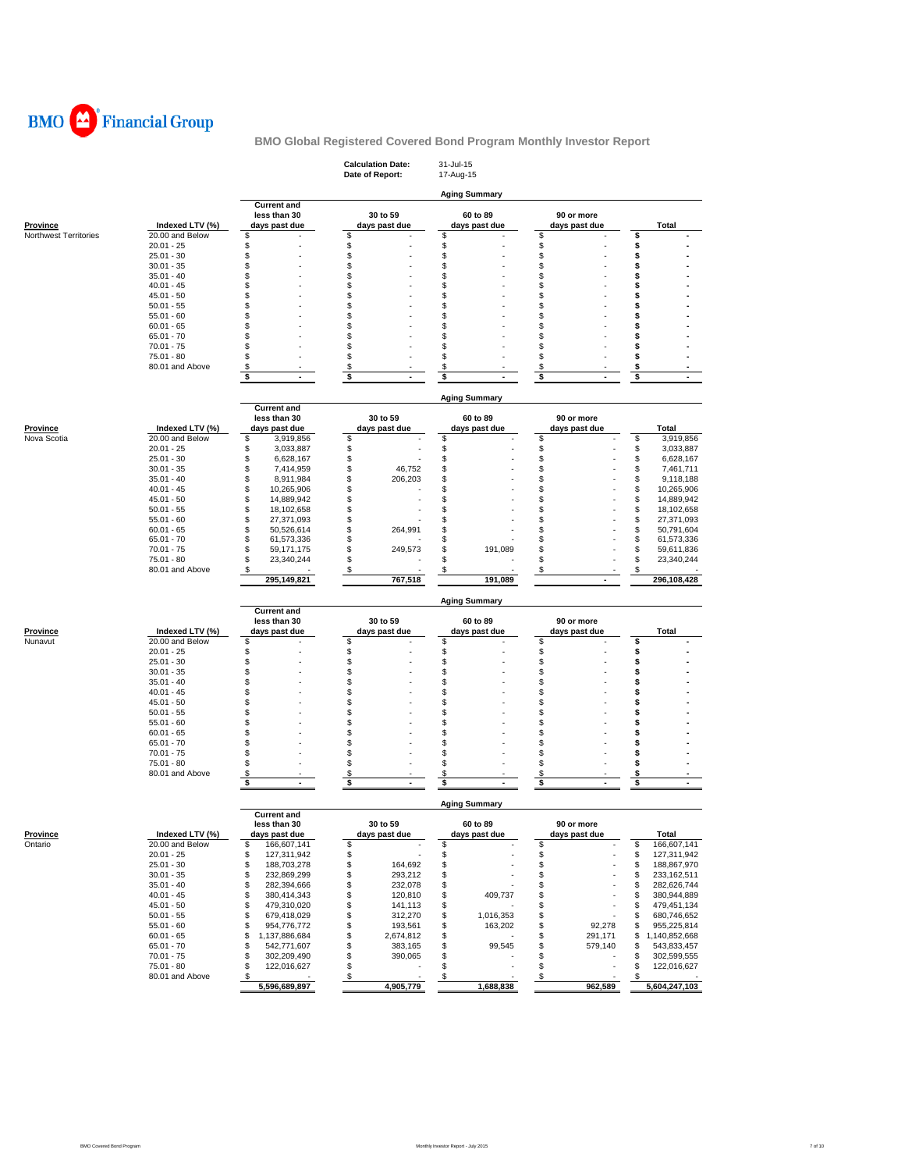

|                                          |                                    |                                    | <b>Calculation Date:</b><br>Date of Report: | 31-Jul-15<br>17-Aug-15 |                     |                         |
|------------------------------------------|------------------------------------|------------------------------------|---------------------------------------------|------------------------|---------------------|-------------------------|
|                                          |                                    |                                    |                                             | <b>Aging Summary</b>   |                     |                         |
|                                          |                                    | <b>Current and</b><br>less than 30 | 30 to 59                                    | 60 to 89               | 90 or more          |                         |
| <b>Province</b><br>Northwest Territories | Indexed LTV (%)<br>20.00 and Below | days past due<br>\$                | days past due<br>\$                         | days past due<br>\$    | days past due<br>\$ | Total<br>\$             |
|                                          | $20.01 - 25$                       | \$                                 | \$                                          | \$                     | \$                  | \$                      |
|                                          | $25.01 - 30$                       | \$                                 | \$                                          | \$                     | \$                  | \$                      |
|                                          | $30.01 - 35$                       | \$                                 | \$                                          | \$                     | \$                  | \$                      |
|                                          | $35.01 - 40$                       | \$                                 | \$                                          | \$                     | \$                  | s                       |
|                                          | $40.01 - 45$                       | \$                                 | \$                                          | \$                     | \$                  | s                       |
|                                          | $45.01 - 50$                       | \$                                 | \$                                          | \$                     | \$                  | \$                      |
|                                          | $50.01 - 55$                       | \$                                 | \$                                          | \$                     | \$                  | s                       |
|                                          | $55.01 - 60$                       | \$                                 | \$                                          | \$                     | \$                  | \$                      |
|                                          | $60.01 - 65$                       | \$                                 | \$                                          | S                      | \$                  | s                       |
|                                          | $65.01 - 70$                       | \$                                 | \$                                          | \$                     | \$                  | \$                      |
|                                          | $70.01 - 75$                       | \$                                 | \$                                          | \$                     | \$                  | s                       |
|                                          | 75.01 - 80                         | \$                                 | \$                                          | \$                     | \$                  | s                       |
|                                          | 80.01 and Above                    | \$<br>\$<br>$\blacksquare$         | \$<br>\$<br>$\blacksquare$                  | \$<br>\$               | \$<br>\$            | \$<br>\$                |
|                                          |                                    |                                    |                                             |                        |                     |                         |
|                                          |                                    | <b>Current and</b>                 |                                             | <b>Aging Summary</b>   |                     |                         |
|                                          |                                    | less than 30                       | 30 to 59                                    | 60 to 89               | 90 or more          |                         |
| <b>Province</b>                          | Indexed LTV (%)                    | days past due                      | days past due                               | days past due          | days past due       | Total                   |
| Nova Scotia                              | 20.00 and Below                    | \$<br>3,919,856                    | \$                                          | \$                     | \$                  | \$<br>3,919,856         |
|                                          | $20.01 - 25$                       | \$<br>3,033,887                    | \$                                          | \$                     | \$                  | \$<br>3,033,887         |
|                                          | $25.01 - 30$                       | \$<br>6.628.167                    | \$                                          | \$                     | \$                  | \$<br>6.628.167         |
|                                          | $30.01 - 35$                       | \$<br>7,414,959                    | \$<br>46,752                                | \$                     | \$                  | \$<br>7,461,711         |
|                                          | $35.01 - 40$                       | \$<br>8,911,984                    | \$<br>206,203                               | \$                     | \$                  | \$<br>9,118,188         |
|                                          | $40.01 - 45$                       | \$<br>10,265,906                   | \$                                          | \$                     | \$                  | \$<br>10,265,906        |
|                                          | $45.01 - 50$                       | \$<br>14,889,942                   | \$                                          | S                      | \$                  | \$<br>14,889,942        |
|                                          | $50.01 - 55$                       | \$<br>18,102,658                   | \$                                          | \$                     | \$                  | \$<br>18,102,658        |
|                                          | $55.01 - 60$                       | \$<br>27,371,093                   | \$                                          | \$                     | \$                  | \$<br>27,371,093        |
|                                          | $60.01 - 65$                       | \$<br>50,526,614                   | \$<br>264,991                               | \$                     | \$                  | \$<br>50,791,604        |
|                                          | $65.01 - 70$                       | \$<br>61,573,336                   | \$                                          | \$                     | \$                  | \$<br>61,573,336        |
|                                          | $70.01 - 75$                       | \$<br>59,171,175                   | \$<br>249,573                               | \$<br>191,089          | \$                  | \$<br>59,611,836        |
|                                          | 75.01 - 80                         | \$<br>23,340,244                   | \$                                          | \$                     | \$                  | \$<br>23,340,244        |
|                                          | 80.01 and Above                    | \$                                 | \$                                          | \$                     | \$                  | \$                      |
|                                          |                                    | 295,149,821                        | 767,518                                     | 191,089                |                     | 296,108,428             |
|                                          |                                    |                                    |                                             | <b>Aging Summary</b>   |                     |                         |
|                                          |                                    | <b>Current and</b>                 |                                             |                        |                     |                         |
|                                          |                                    | less than 30                       | 30 to 59                                    | 60 to 89               | 90 or more          |                         |
| Province                                 | Indexed LTV (%)                    | days past due                      | days past due<br>\$                         | days past due          | days past due<br>\$ | Total                   |
| Nunavut                                  |                                    |                                    |                                             | \$                     |                     |                         |
|                                          | 20.00 and Below                    | \$                                 |                                             |                        |                     | \$                      |
|                                          | $20.01 - 25$                       | \$                                 | \$                                          | \$                     | \$                  | \$                      |
|                                          | $25.01 - 30$                       | \$                                 | \$                                          | \$                     | \$                  | \$                      |
|                                          | $30.01 - 35$                       | \$                                 | \$                                          | \$                     | \$                  | s                       |
|                                          | $35.01 - 40$                       | \$                                 | \$                                          | \$                     | \$                  | s                       |
|                                          | $40.01 - 45$                       | \$                                 | \$                                          | \$                     | \$                  | s                       |
|                                          | $45.01 - 50$                       | \$                                 | \$                                          | \$                     | \$                  | s                       |
|                                          | $50.01 - 55$                       | \$                                 | \$                                          | S                      | \$                  | s                       |
|                                          | $55.01 - 60$                       | \$                                 | \$                                          | \$                     | \$                  | \$                      |
|                                          | $60.01 - 65$                       | \$                                 | \$                                          | \$                     | \$                  | \$                      |
|                                          | $65.01 - 70$                       | \$                                 | \$                                          | \$                     | \$                  | s                       |
|                                          | $70.01 - 75$                       | \$                                 | \$                                          | \$                     | \$                  | \$                      |
|                                          | 75.01 - 80<br>80.01 and Above      | \$<br>\$                           | \$<br>\$                                    | \$<br>\$               | \$<br>\$            | s<br>\$                 |
|                                          |                                    | \$                                 | \$                                          | \$                     | \$                  | \$                      |
|                                          |                                    |                                    |                                             | <b>Aging Summary</b>   |                     |                         |
|                                          |                                    | <b>Current and</b>                 |                                             |                        |                     |                         |
|                                          |                                    | less than 30                       | 30 to 59                                    | 60 to 89               | 90 or more          |                         |
| <b>Province</b>                          | Indexed LTV (%)                    | days past due                      | days past due                               | days past due          | days past due       | Total                   |
| Ontario                                  | 20.00 and Below                    | \$<br>166,607,141                  | \$                                          | \$                     | \$                  | \$<br>166,607,141       |
|                                          | $20.01 - 25$                       | \$<br>127,311,942                  | \$                                          | \$                     | \$                  | \$<br>127,311,942       |
|                                          | $25.01 - 30$                       | \$<br>188,703,278                  | \$<br>164,692                               | \$                     | \$                  | \$<br>188,867,970       |
|                                          | $30.01 - 35$                       | \$<br>232,869,299                  | \$<br>293,212                               | \$                     | \$                  | \$<br>233,162,511       |
|                                          | $35.01 - 40$                       | \$<br>282,394,666                  | \$<br>232,078                               | \$                     | \$                  | \$<br>282,626,744       |
|                                          | $40.01 - 45$                       | \$<br>380,414,343                  | \$<br>120,810                               | \$<br>409,737          | \$                  | \$<br>380,944,889       |
|                                          | $45.01 - 50$                       | \$<br>479,310,020                  | \$<br>141,113                               | \$                     | \$                  | \$<br>479,451,134       |
|                                          | $50.01 - 55$                       | \$<br>679,418,029                  | \$<br>312,270                               | \$<br>1,016,353        | \$                  | \$<br>680,746,652       |
|                                          | $55.01 - 60$                       | \$<br>954,776,772                  | \$<br>193,561                               | \$<br>163,202          | \$<br>92,278        | \$<br>955,225,814       |
|                                          | $60.01 - 65$                       | \$<br>1,137,886,684                | \$<br>2,674,812                             | \$                     | \$<br>291,171       | \$<br>1,140,852,668     |
|                                          | $65.01 - 70$                       | \$<br>542,771,607                  | \$<br>383,165                               | \$<br>99,545           | \$<br>579,140       | \$<br>543,833,457       |
|                                          | $70.01 - 75$                       | \$<br>302,209,490                  | \$<br>390,065                               | \$                     | \$                  | \$<br>302,599,555       |
|                                          | 75.01 - 80<br>80.01 and Above      | \$<br>122,016,627<br>\$            | \$<br>$\frac{1}{2}$                         | \$<br>\$               | \$<br>\$            | \$<br>122,016,627<br>\$ |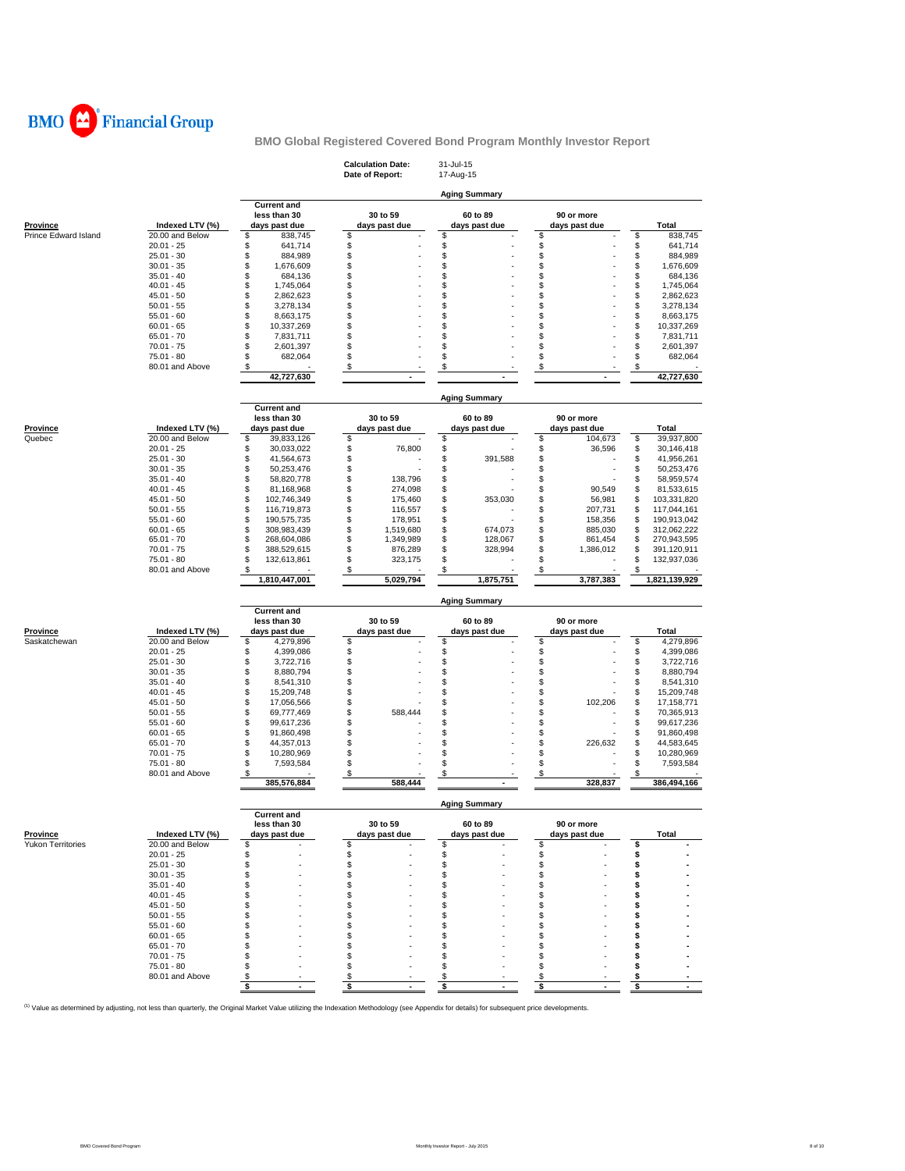

|                          |                 |                               | <b>Calculation Date:</b><br>Date of Report: | 31-Jul-15<br>17-Aug-15    |                             |                   |
|--------------------------|-----------------|-------------------------------|---------------------------------------------|---------------------------|-----------------------------|-------------------|
|                          |                 | <b>Current and</b>            |                                             | <b>Aging Summary</b>      |                             |                   |
| Province                 | Indexed LTV (%) | less than 30<br>days past due | 30 to 59<br>days past due                   | 60 to 89<br>days past due | 90 or more<br>days past due | Total             |
| Prince Edward Island     | 20.00 and Below | \$<br>838,745                 | \$                                          | \$                        | \$                          | \$<br>838,745     |
|                          | $20.01 - 25$    | \$<br>641,714                 | \$                                          | \$                        | \$                          | \$<br>641,714     |
|                          | $25.01 - 30$    | \$<br>884,989                 | \$                                          | \$                        | \$                          | \$<br>884,989     |
|                          | $30.01 - 35$    | \$<br>1,676,609               | \$                                          | \$                        | \$                          | \$<br>1,676,609   |
|                          | $35.01 - 40$    | \$<br>684,136                 | \$                                          | \$                        | \$                          | \$<br>684,136     |
|                          | $40.01 - 45$    | \$<br>1,745,064               | \$                                          | \$                        | \$                          | \$<br>1,745,064   |
|                          | $45.01 - 50$    | \$<br>2,862,623               | \$                                          | \$                        | \$                          | \$<br>2,862,623   |
|                          | $50.01 - 55$    | \$<br>3,278,134               | \$                                          | \$                        | \$                          | \$<br>3,278,134   |
|                          | $55.01 - 60$    | \$<br>8,663,175               | \$                                          | \$                        | \$                          | \$<br>8,663,175   |
|                          | $60.01 - 65$    | \$<br>10,337,269              | \$                                          | \$                        | S                           | \$<br>10,337,269  |
|                          | $65.01 - 70$    | \$<br>7,831,711               | \$                                          | \$                        | \$                          | \$<br>7,831,711   |
|                          | $70.01 - 75$    | \$<br>2,601,397               | \$                                          | \$                        | \$                          | \$<br>2,601,397   |
|                          | 75.01 - 80      | \$<br>682,064                 | \$                                          | \$                        | \$                          | \$<br>682,064     |
|                          | 80.01 and Above | \$                            | \$                                          | \$                        | \$                          | \$                |
|                          |                 | 42,727,630                    |                                             |                           |                             | 42,727,630        |
|                          |                 |                               |                                             | <b>Aging Summary</b>      |                             |                   |
|                          |                 | <b>Current and</b>            |                                             |                           |                             |                   |
|                          |                 | less than 30                  | 30 to 59                                    | 60 to 89                  | 90 or more                  |                   |
| <b>Province</b>          | Indexed LTV (%) | days past due                 | days past due                               | days past due             | days past due               | Total             |
| Quebec                   | 20.00 and Below | \$<br>39,833,126              | \$                                          | \$                        | 104,673<br>\$               | \$<br>39,937,800  |
|                          | $20.01 - 25$    | \$<br>30,033,022              | \$<br>76,800                                | \$                        | \$<br>36,596                | \$<br>30,146,418  |
|                          | $25.01 - 30$    | \$<br>41,564,673              | \$                                          | \$<br>391,588             | \$                          | \$<br>41,956,261  |
|                          | $30.01 - 35$    | \$<br>50,253,476              | \$                                          | \$                        | \$<br>×                     | \$<br>50,253,476  |
|                          | $35.01 - 40$    | \$<br>58,820,778              | \$<br>138,796                               | \$                        | \$                          | \$<br>58,959,574  |
|                          | $40.01 - 45$    | \$<br>81,168,968              | \$<br>274,098                               | \$                        | \$<br>90,549                | \$<br>81,533,615  |
|                          | $45.01 - 50$    | \$<br>102,746,349             | \$<br>175,460                               | \$<br>353,030             | \$<br>56,981                | \$<br>103,331,820 |
|                          | $50.01 - 55$    | \$<br>116,719,873             | \$<br>116,557                               | \$                        | \$<br>207,731               | \$<br>117,044,161 |
|                          | $55.01 - 60$    | \$<br>190,575,735             | \$<br>178,951                               | \$                        | \$<br>158,356               | \$<br>190,913,042 |
|                          | $60.01 - 65$    | \$<br>308,983,439             | \$<br>1,519,680                             | \$<br>674,073             | \$<br>885,030               | \$<br>312,062,222 |
|                          | $65.01 - 70$    | \$<br>268,604,086             | \$<br>1,349,989                             | \$<br>128,067             | \$<br>861,454               | \$<br>270,943,595 |
|                          | $70.01 - 75$    | \$<br>388,529,615             | \$<br>876,289                               | \$<br>328,994             | 1,386,012<br>\$             | \$<br>391,120,911 |
|                          | $75.01 - 80$    | \$<br>132,613,861             | \$<br>323,175                               | \$                        | \$                          | \$<br>132,937,036 |
|                          | 80.01 and Above | \$                            | \$                                          | \$                        | \$                          | \$                |
|                          |                 | 1,810,447,001                 | 5,029,794                                   | 1,875,751                 | 3,787,383                   | 1,821,139,929     |
|                          |                 |                               |                                             | <b>Aging Summary</b>      |                             |                   |
|                          |                 |                               |                                             |                           |                             |                   |
|                          |                 | <b>Current and</b>            |                                             |                           |                             |                   |
|                          |                 | less than 30                  | 30 to 59                                    | 60 to 89                  | 90 or more                  |                   |
| Province                 | Indexed LTV (%) | days past due                 | days past due                               | days past due             | days past due               | Total             |
| Saskatchewan             | 20.00 and Below | \$<br>4,279,896               | \$                                          | \$                        | \$                          | \$<br>4,279,896   |
|                          | $20.01 - 25$    | \$<br>4,399,086               | \$                                          | \$                        | \$                          | \$<br>4,399,086   |
|                          | $25.01 - 30$    | \$<br>3,722,716               | \$                                          | \$                        | \$                          | \$<br>3,722,716   |
|                          | $30.01 - 35$    | \$<br>8,880,794               | \$                                          | \$                        | \$                          | \$<br>8,880,794   |
|                          | $35.01 - 40$    | \$<br>8,541,310               | \$                                          | \$                        | \$                          | \$<br>8,541,310   |
|                          | $40.01 - 45$    | \$<br>15,209,748              | \$                                          | \$                        | \$                          | \$<br>15,209,748  |
|                          | $45.01 - 50$    | \$<br>17,056,566              | \$                                          | \$                        | \$<br>102,206               | \$<br>17,158,771  |
|                          | $50.01 - 55$    | \$<br>69,777,469              | \$<br>588,444                               | \$                        | \$                          | \$<br>70,365,913  |
|                          | $55.01 - 60$    | \$<br>99,617,236              | \$                                          | \$                        | \$                          | \$<br>99,617,236  |
|                          | $60.01 - 65$    | \$<br>91,860,498              | \$                                          | \$                        | \$                          | \$<br>91,860,498  |
|                          | $65.01 - 70$    | \$<br>44,357,013              | \$                                          | \$                        | \$<br>226,632               | \$<br>44,583,645  |
|                          | $70.01 - 75$    | \$<br>10,280,969              | \$                                          | \$                        | \$                          | \$<br>10,280,969  |
|                          | 75.01 - 80      | \$<br>7,593,584               | \$                                          | \$                        | \$                          | \$<br>7,593,584   |
|                          | 80.01 and Above | \$<br>385,576,884             | \$<br>588,444                               | \$                        | \$<br>328,837               | \$<br>386,494,166 |
|                          |                 |                               |                                             |                           |                             |                   |
|                          |                 | <b>Current and</b>            |                                             | Aging Summary             |                             |                   |
|                          |                 | less than 30                  | 30 to 59                                    | 60 to 89                  | 90 or more                  |                   |
| <u>Province</u>          | Indexed LTV (%) | days past due                 | days past due                               | days past due             | days past due               | Total             |
| <b>Yukon Territories</b> | 20.00 and Below | \$                            | \$                                          | \$                        | \$                          | \$                |
|                          | $20.01 - 25$    | \$                            | \$                                          | \$                        | \$                          | \$                |
|                          | $25.01 - 30$    | \$                            | \$                                          | \$                        | \$                          | \$                |
|                          | $30.01 - 35$    | \$                            | \$                                          | \$                        | \$                          | \$                |
|                          | $35.01 - 40$    | \$                            | \$                                          | \$                        | \$                          | \$                |
|                          | $40.01 - 45$    | \$                            | \$                                          | \$                        | \$                          | S                 |
|                          | $45.01 - 50$    | \$                            | \$                                          | \$                        | \$                          | \$                |
|                          | $50.01 - 55$    | \$                            | \$                                          | \$                        | \$                          | \$                |
|                          | $55.01 - 60$    | \$                            | S                                           | \$                        | \$                          | s                 |
|                          | $60.01 - 65$    | \$                            | \$                                          | \$                        | S.                          | Ŝ                 |
|                          | $65.01 - 70$    | \$                            | \$                                          | \$                        | \$                          | \$                |
|                          | $70.01 - 75$    | \$                            | \$                                          | \$                        | S                           | \$                |
|                          | $75.01 - 80$    | \$                            | \$                                          | \$                        | \$                          | S                 |
|                          | 80.01 and Above | \$<br>\$<br>$\blacksquare$    | \$<br>\$                                    | \$<br>\$                  | \$<br>\$<br>$\blacksquare$  | \$<br>\$          |

<sup>(1)</sup> Value as determined by adjusting, not less than quarterly, the Original Market Value utilizing the Indexation Methodology (see Appendix for details) for subsequent price developments.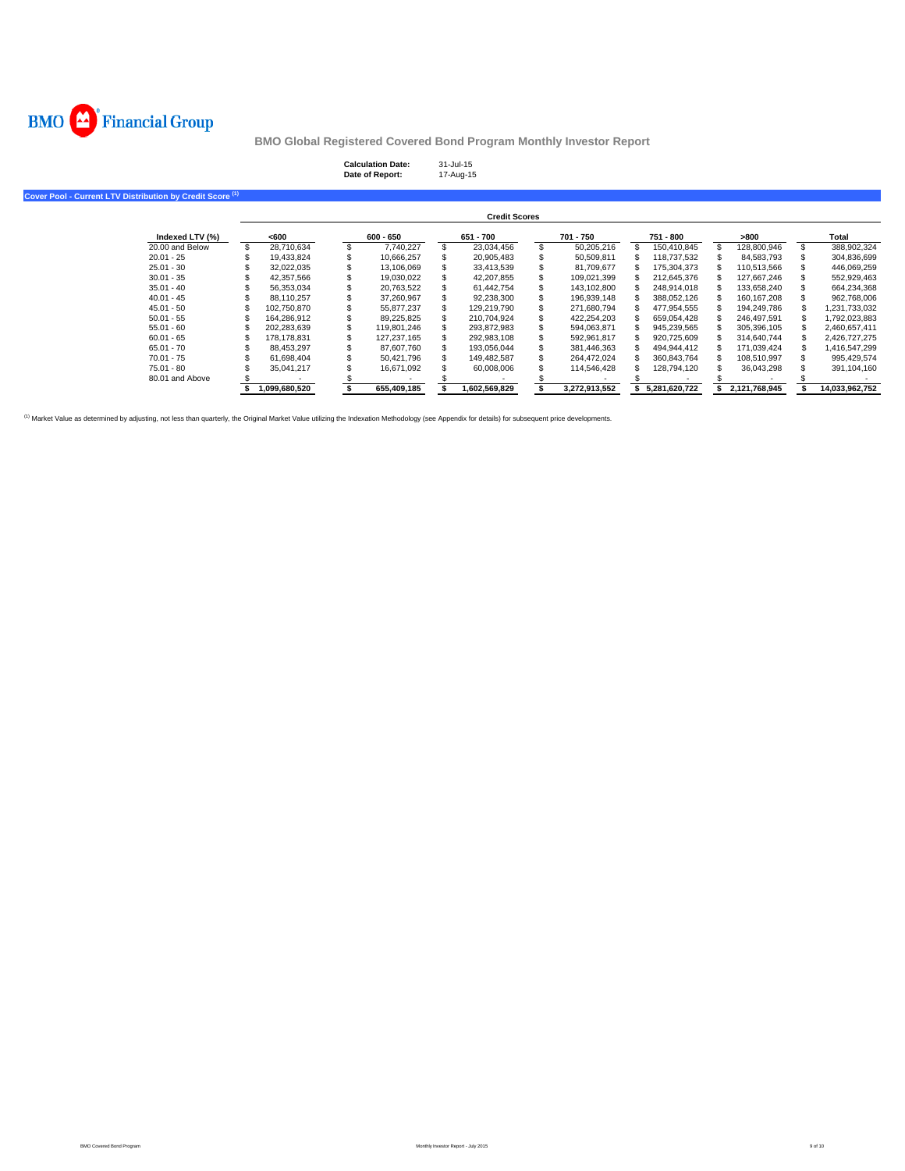

| <b>Calculation Date:</b> | 31-Jul-15 |
|--------------------------|-----------|
| Date of Report:          | 17-Aug-15 |

**Cover Pool - Current LTV Distribution by Credit Score (1)**

|                 |               |             | <b>Credit Scores</b> |   |               |   |               |               |                |
|-----------------|---------------|-------------|----------------------|---|---------------|---|---------------|---------------|----------------|
| Indexed LTV (%) | <600          | $600 - 650$ | 651 - 700            |   | 701 - 750     |   | 751 - 800     | >800          | Total          |
| 20.00 and Below | 28.710.634    | 7.740.227   | 23.034.456           |   | 50.205.216    | S | 150.410.845   | 128.800.946   | 388.902.324    |
| $20.01 - 25$    | 19.433.824    | 10.666.257  | 20.905.483           |   | 50.509.811    | S | 118.737.532   | 84.583.793    | 304,836,699    |
| $25.01 - 30$    | 32.022.035    | 13.106.069  | 33.413.539           | S | 81.709.677    |   | 175.304.373   | 110.513.566   | 446.069.259    |
| $30.01 - 35$    | 42.357.566    | 19.030.022  | 42.207.855           |   | 109.021.399   |   | 212.645.376   | 127.667.246   | 552,929,463    |
| $35.01 - 40$    | 56.353.034    | 20.763.522  | 61.442.754           |   | 143.102.800   |   | 248.914.018   | 133.658.240   | 664.234.368    |
| $40.01 - 45$    | 88.110.257    | 37.260.967  | 92,238,300           |   | 196.939.148   |   | 388.052.126   | 160.167.208   | 962,768,006    |
| $45.01 - 50$    | 102.750.870   | 55.877.237  | \$<br>129.219.790    | S | 271.680.794   | s | 477.954.555   | 194.249.786   | 231,733,032    |
| $50.01 - 55$    | 164.286.912   | 89.225.825  | 210.704.924          |   | 422.254.203   |   | 659.054.428   | 246.497.591   | .792.023.883   |
| $55.01 - 60$    | 202.283.639   | 119.801.246 | 293.872.983          |   | 594.063.871   |   | 945.239.565   | 305.396.105   | 2.460.657.411  |
| $60.01 - 65$    | 178.178.831   | 127.237.165 | 292.983.108          |   | 592.961.817   |   | 920.725.609   | 314.640.744   | 2.426.727.275  |
| $65.01 - 70$    | 88.453.297    | 87.607.760  | 193.056.044          |   | 381,446,363   |   | 494.944.412   | 171.039.424   | 416,547,299.   |
| $70.01 - 75$    | 61.698.404    | 50.421.796  | 149.482.587          |   | 264.472.024   |   | 360.843.764   | 108.510.997   | 995.429.574    |
| $75.01 - 80$    | 35.041.217    | 16.671.092  | 60.008.006           |   | 114.546.428   |   | 128.794.120   | 36.043.298    | 391,104,160    |
| 80.01 and Above |               |             |                      |   |               |   |               |               |                |
|                 | 1.099.680.520 | 655.409.185 | 1.602.569.829        |   | 3.272.913.552 |   | 5.281.620.722 | 2.121.768.945 | 14.033.962.752 |

<sup>(1)</sup> Market Value as determined by adjusting, not less than quarterly, the Original Market Value utilizing the Indexation Methodology (see Appendix for details) for subsequent price developments.